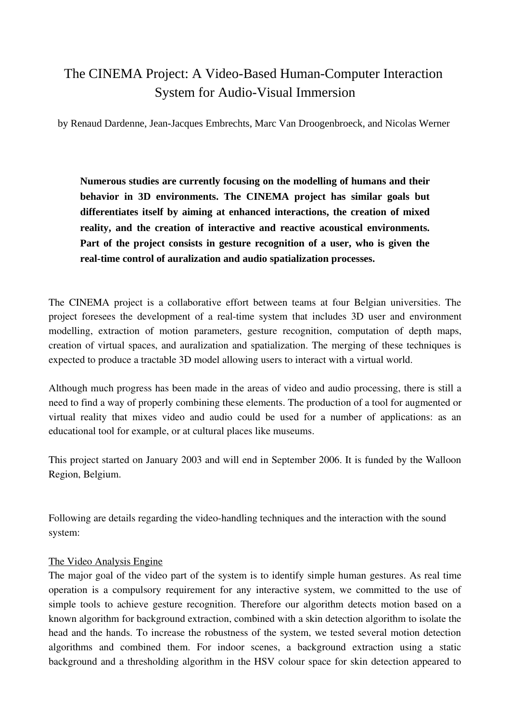# The CINEMA Project: A Video-Based Human-Computer Interaction System for Audio-Visual Immersion

by Renaud Dardenne, Jean-Jacques Embrechts, Marc Van Droogenbroeck, and Nicolas Werner

**Numerous studies are currently focusing on the modelling of humans and their behavior in 3D environments. The CINEMA project has similar goals but differentiates itself by aiming at enhanced interactions, the creation of mixed reality, and the creation of interactive and reactive acoustical environments. Part of the project consists in gesture recognition of a user, who is given the real-time control of auralization and audio spatialization processes.**

The CINEMA project is a collaborative effort between teams at four Belgian universities. The project foresees the development of a real-time system that includes 3D user and environment modelling, extraction of motion parameters, gesture recognition, computation of depth maps, creation of virtual spaces, and auralization and spatialization. The merging of these techniques is expected to produce a tractable 3D model allowing users to interact with a virtual world.

Although much progress has been made in the areas of video and audio processing, there is still a need to find a way of properly combining these elements. The production of a tool for augmented or virtual reality that mixes video and audio could be used for a number of applications: as an educational tool for example, or at cultural places like museums.

This project started on January 2003 and will end in September 2006. It is funded by the Walloon Region, Belgium.

Following are details regarding the video-handling techniques and the interaction with the sound system:

### The Video Analysis Engine

The major goal of the video part of the system is to identify simple human gestures. As real time operation is a compulsory requirement for any interactive system, we committed to the use of simple tools to achieve gesture recognition. Therefore our algorithm detects motion based on a known algorithm for background extraction, combined with a skin detection algorithm to isolate the head and the hands. To increase the robustness of the system, we tested several motion detection algorithms and combined them. For indoor scenes, a background extraction using a static background and a thresholding algorithm in the HSV colour space for skin detection appeared to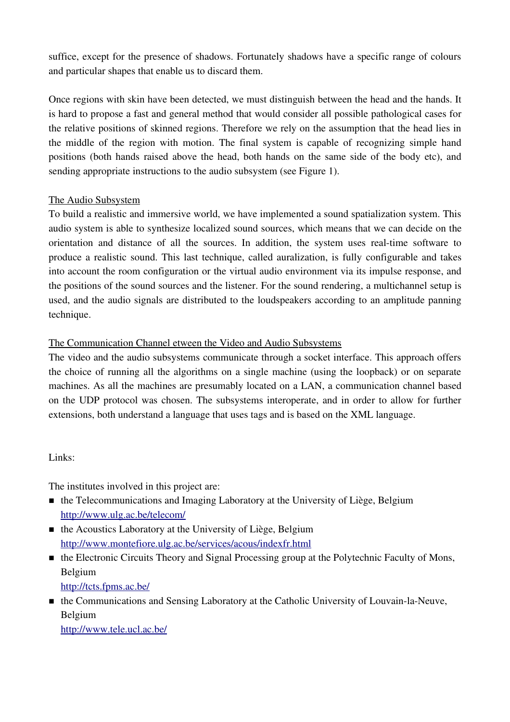suffice, except for the presence of shadows. Fortunately shadows have a specific range of colours and particular shapes that enable us to discard them.

Once regions with skin have been detected, we must distinguish between the head and the hands. It is hard to propose a fast and general method that would consider all possible pathological cases for the relative positions of skinned regions. Therefore we rely on the assumption that the head lies in the middle of the region with motion. The final system is capable of recognizing simple hand positions (both hands raised above the head, both hands on the same side of the body etc), and sending appropriate instructions to the audio subsystem (see Figure 1).

### The Audio Subsystem

To build a realistic and immersive world, we have implemented a sound spatialization system. This audio system is able to synthesize localized sound sources, which means that we can decide on the orientation and distance of all the sources. In addition, the system uses real-time software to produce a realistic sound. This last technique, called auralization, is fully configurable and takes into account the room configuration or the virtual audio environment via its impulse response, and the positions of the sound sources and the listener. For the sound rendering, a multichannel setup is used, and the audio signals are distributed to the loudspeakers according to an amplitude panning technique.

# The Communication Channel etween the Video and Audio Subsystems

The video and the audio subsystems communicate through a socket interface. This approach offers the choice of running all the algorithms on a single machine (using the loopback) or on separate machines. As all the machines are presumably located on a LAN, a communication channel based on the UDP protocol was chosen. The subsystems interoperate, and in order to allow for further extensions, both understand a language that uses tags and is based on the XML language.

# Links:

The institutes involved in this project are:

- the Telecommunications and Imaging Laboratory at the University of Liège, Belgium http://www.ulg.ac.be/telecom/
- the Acoustics Laboratory at the University of Liège, Belgium http://www.montefiore.ulg.ac.be/services/acous/indexfr.html
- the Electronic Circuits Theory and Signal Processing group at the Polytechnic Faculty of Mons, Belgium http://tcts.fpms.ac.be/
- $\blacksquare$  the Communications and Sensing Laboratory at the Catholic University of Louvain-la-Neuve, Belgium

http://www.tele.ucl.ac.be/